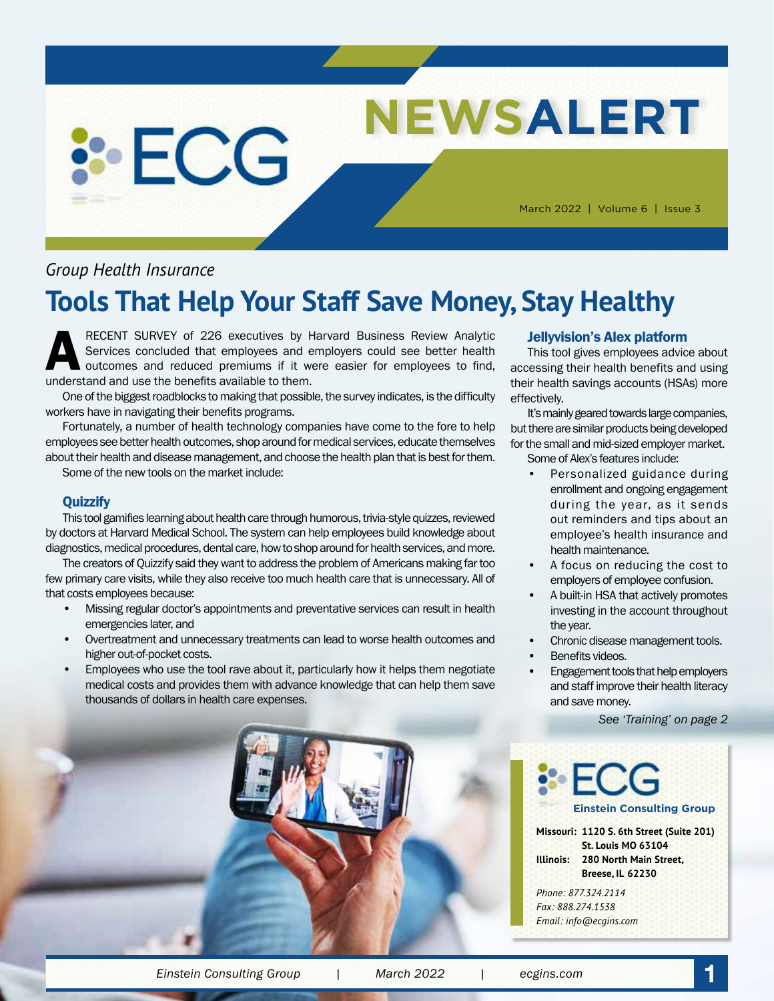# **NEWSALERT**

March 2022 | Volume 6 | Issue 3

#### *Group Health Insurance*

**: ECG** 

## **Tools That Help Your Staff Save Money, Stay Healthy**

RECENT SURVEY of 226 executives by Harvard Business Review Analytic<br>Services concluded that employees and employers could see better health<br>outcomes and reduced premiums if it were easier for employees to find,<br>understand Services concluded that employees and employers could see better health outcomes and reduced premiums if it were easier for employees to find, understand and use the benefits available to them.

One of the biggest roadblocks to making that possible, the survey indicates, is the difficulty workers have in navigating their benefits programs.

Fortunately, a number of health technology companies have come to the fore to help employees see better health outcomes, shop around for medical services, educate themselves about their health and disease management, and choose the health plan that is best for them. Some of the new tools on the market include:

#### **Quizzify**

This tool gamifies learning about health care through humorous, trivia-style quizzes, reviewed by doctors at Harvard Medical School. The system can help employees build knowledge about diagnostics, medical procedures, dental care, how to shop around for health services, and more.

The creators of Quizzify said they want to address the problem of Americans making far too few primary care visits, while they also receive too much health care that is unnecessary. All of that costs employees because:

- Missing regular doctor's appointments and preventative services can result in health emergencies later, and
- Overtreatment and unnecessary treatments can lead to worse health outcomes and higher out-of-pocket costs.
- Employees who use the tool rave about it, particularly how it helps them negotiate medical costs and provides them with advance knowledge that can help them save thousands of dollars in health care expenses.

#### Jellyvision's Alex platform

This tool gives employees advice about accessing their health benefits and using their health savings accounts (HSAs) more effectively.

It's mainly geared towards large companies, but there are similar products being developed for the small and mid-sized employer market. Some of Alex's features include:

- Personalized guidance during enrollment and ongoing engagement during the year, as it sends out reminders and tips about an employee's health insurance and health maintenance.
- A focus on reducing the cost to employers of employee confusion.
- A built-in HSA that actively promotes investing in the account throughout the year.
- Chronic disease management tools.
- Benefits videos.
- Engagement tools that help employers and staff improve their health literacy and save money.

**Missouri: 1120 S. 6th Street (Suite 201) St. Louis MO 63104 Illinois: 280 North Main Street, Breese, IL 62230**

**Einstein Consulting Group**

*See 'Training' on page 2*



*Email: info@ecgins.com*

*Phone: 877.324.2114 Fax: 888.274.1538*

*Einstein Consulting Group | March 2022 | ecgins.com* **1**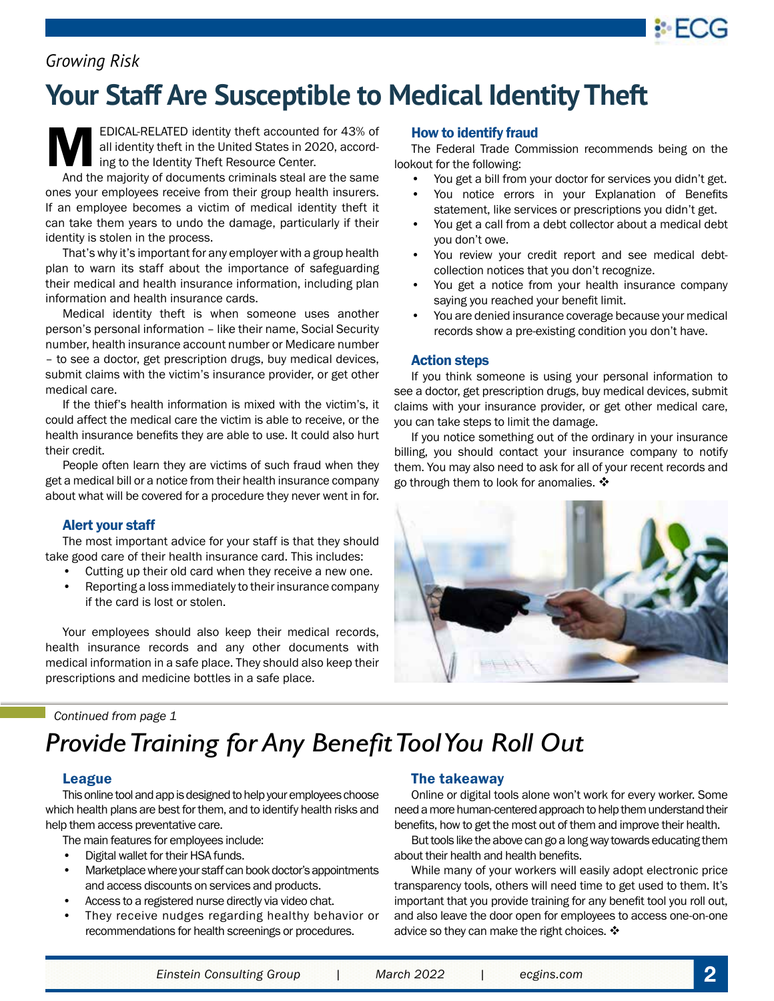#### *Growing Risk*

# **Your Staff Are Susceptible to Medical Identity Theft**

EDICAL-RELATED identity theft accounted for 43% of all identity theft in the United States in 2020, according to the Identity Theft Resource Center.

And the majority of documents criminals steal are the same ones your employees receive from their group health insurers. If an employee becomes a victim of medical identity theft it can take them years to undo the damage, particularly if their identity is stolen in the process.

That's why it's important for any employer with a group health plan to warn its staff about the importance of safeguarding their medical and health insurance information, including plan information and health insurance cards.

Medical identity theft is when someone uses another person's personal information – like their name, Social Security number, health insurance account number or Medicare number – to see a doctor, get prescription drugs, buy medical devices, submit claims with the victim's insurance provider, or get other medical care.

If the thief's health information is mixed with the victim's, it could affect the medical care the victim is able to receive, or the health insurance benefits they are able to use. It could also hurt their credit.

People often learn they are victims of such fraud when they get a medical bill or a notice from their health insurance company about what will be covered for a procedure they never went in for.

#### Alert your staff

The most important advice for your staff is that they should take good care of their health insurance card. This includes:

- Cutting up their old card when they receive a new one.
- Reporting a loss immediately to their insurance company if the card is lost or stolen.

Your employees should also keep their medical records, health insurance records and any other documents with medical information in a safe place. They should also keep their prescriptions and medicine bottles in a safe place.

#### How to identify fraud

The Federal Trade Commission recommends being on the lookout for the following:

- You get a bill from your doctor for services you didn't get.
- You notice errors in your Explanation of Benefits statement, like services or prescriptions you didn't get.
- You get a call from a debt collector about a medical debt you don't owe.
- You review your credit report and see medical debtcollection notices that you don't recognize.
- You get a notice from your health insurance company saying you reached your benefit limit.
- You are denied insurance coverage because your medical records show a pre-existing condition you don't have.

#### Action steps

If you think someone is using your personal information to see a doctor, get prescription drugs, buy medical devices, submit claims with your insurance provider, or get other medical care, you can take steps to limit the damage.

If you notice something out of the ordinary in your insurance billing, you should contact your insurance company to notify them. You may also need to ask for all of your recent records and go through them to look for anomalies.  $\clubsuit$ 



*Continued from page 1*

# *Provide Training for Any Benefit Tool You Roll Out*

#### League

This online tool and app is designed to help your employees choose which health plans are best for them, and to identify health risks and help them access preventative care.

The main features for employees include:

- Digital wallet for their HSA funds.
- Marketplace where your staff can book doctor's appointments and access discounts on services and products.
- Access to a registered nurse directly via video chat.
- They receive nudges regarding healthy behavior or recommendations for health screenings or procedures.

#### The takeaway

Online or digital tools alone won't work for every worker. Some need a more human-centered approach to help them understand their benefits, how to get the most out of them and improve their health.

But tools like the above can go a long way towards educating them about their health and health benefits.

While many of your workers will easily adopt electronic price transparency tools, others will need time to get used to them. It's important that you provide training for any benefit tool you roll out, and also leave the door open for employees to access one-on-one advice so they can make the right choices.  $\mathbf{\hat{*}}$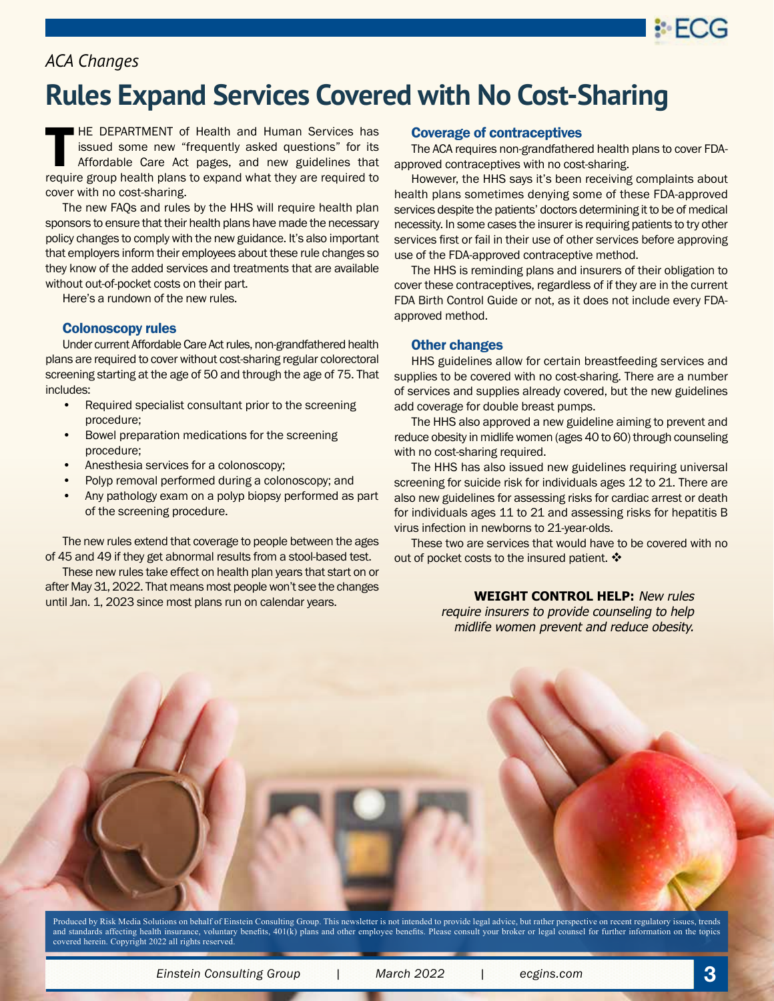

#### *ACA Changes*

## **Rules Expand Services Covered with No Cost-Sharing**

HE DEPARTMENT of Health and Human Services has issued some new "frequently asked questions" for its Affordable Care Act pages, and new guidelines that require group health plans to expand what they are required to cover with no cost-sharing.

The new FAQs and rules by the HHS will require health plan sponsors to ensure that their health plans have made the necessary policy changes to comply with the new guidance. It's also important that employers inform their employees about these rule changes so they know of the added services and treatments that are available without out-of-pocket costs on their part.

Here's a rundown of the new rules.

#### Colonoscopy rules

Under current Affordable Care Act rules, non-grandfathered health plans are required to cover without cost-sharing regular colorectoral screening starting at the age of 50 and through the age of 75. That includes:

- Required specialist consultant prior to the screening procedure;
- Bowel preparation medications for the screening procedure;
- Anesthesia services for a colonoscopy;
- Polyp removal performed during a colonoscopy; and
- Any pathology exam on a polyp biopsy performed as part of the screening procedure.

The new rules extend that coverage to people between the ages of 45 and 49 if they get abnormal results from a stool-based test.

These new rules take effect on health plan years that start on or after May 31, 2022. That means most people won't see the changes until Jan. 1, 2023 since most plans run on calendar years.

#### Coverage of contraceptives

The ACA requires non-grandfathered health plans to cover FDAapproved contraceptives with no cost-sharing.

However, the HHS says it's been receiving complaints about health plans sometimes denying some of these FDA-approved services despite the patients' doctors determining it to be of medical necessity. In some cases the insurer is requiring patients to try other services first or fail in their use of other services before approving use of the FDA-approved contraceptive method.

The HHS is reminding plans and insurers of their obligation to cover these contraceptives, regardless of if they are in the current FDA Birth Control Guide or not, as it does not include every FDAapproved method.

#### Other changes

HHS guidelines allow for certain breastfeeding services and supplies to be covered with no cost-sharing. There are a number of services and supplies already covered, but the new guidelines add coverage for double breast pumps.

The HHS also approved a new guideline aiming to prevent and reduce obesity in midlife women (ages 40 to 60) through counseling with no cost-sharing required.

The HHS has also issued new guidelines requiring universal screening for suicide risk for individuals ages 12 to 21. There are also new guidelines for assessing risks for cardiac arrest or death for individuals ages 11 to 21 and assessing risks for hepatitis B virus infection in newborns to 21-year-olds.

These two are services that would have to be covered with no out of pocket costs to the insured patient.  $\cdot\cdot\cdot$ 

> **WEIGHT CONTROL HELP:** New rules require insurers to provide counseling to help midlife women prevent and reduce obesity.

Produced by Risk Media Solutions on behalf of Einstein Consulting Group. This newsletter is not intended to provide legal advice, but rather perspective on recent regulatory issues, trends and standards affecting health insurance, voluntary benefits, 401(k) plans and other employee benefits. Please consult your broker or legal counsel for further information on the topics covered herein. Copyright 2022 all rights reserved.

*Einstein Consulting Group | March 2022 | ecgins.com* **3**